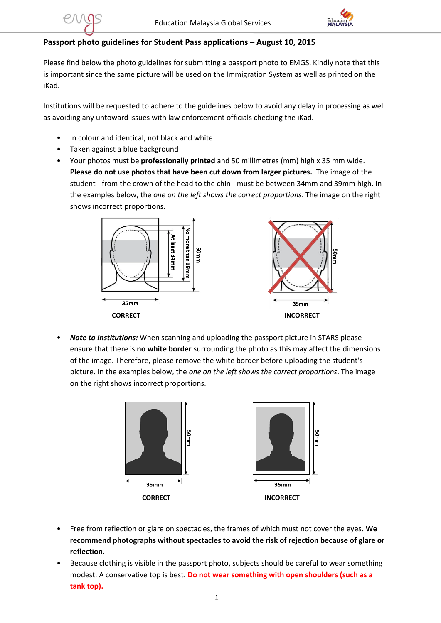

## **Passport photo guidelines for Student Pass applications – August 10, 2015**

Please find below the photo guidelines for submitting a passport photo to EMGS. Kindly note that this is important since the same picture will be used on the Immigration System as well as printed on the iKad.

Institutions will be requested to adhere to the guidelines below to avoid any delay in processing as well as avoiding any untoward issues with law enforcement officials checking the iKad.

- In colour and identical, not black and white
- Taken against a blue background
- Your photos must be **professionally printed** and 50 millimetres (mm) high x 35 mm wide. **Please do not use photos that have been cut down from larger pictures.** The image of the student - from the crown of the head to the chin - must be between 34mm and 39mm high. In the examples below, the *one on the left shows the correct proportions*. The image on the right shows incorrect proportions.



• *Note to Institutions:* When scanning and uploading the passport picture in STARS please ensure that there is **no white border** surrounding the photo as this may affect the dimensions of the image. Therefore, please remove the white border before uploading the student's picture. In the examples below, the *one on the left shows the correct proportions*. The image on the right shows incorrect proportions.



- Free from reflection or glare on spectacles, the frames of which must not cover the eyes**. We recommend photographs without spectacles to avoid the risk of rejection because of glare or reflection**.
- Because clothing is visible in the passport photo, subjects should be careful to wear something modest. A conservative top is best. **Do not wear something with open shoulders (such as a tank top).**